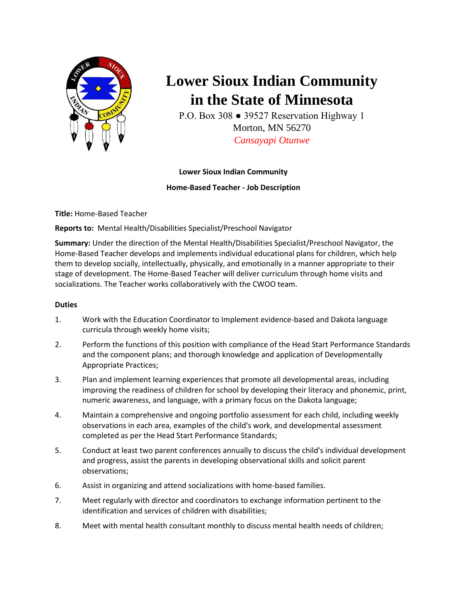

# **Lower Sioux Indian Community in the State of Minnesota**

P.O. Box 308 ● 39527 Reservation Highway 1 Morton, MN 56270 *Cansayapi Otunwe*

## **Lower Sioux Indian Community**

## **Home-Based Teacher - Job Description**

**Title:** Home-Based Teacher

**Reports to:** Mental Health/Disabilities Specialist/Preschool Navigator

**Summary:** Under the direction of the Mental Health/Disabilities Specialist/Preschool Navigator, the Home-Based Teacher develops and implements individual educational plans for children, which help them to develop socially, intellectually, physically, and emotionally in a manner appropriate to their stage of development. The Home-Based Teacher will deliver curriculum through home visits and socializations. The Teacher works collaboratively with the CWOO team.

## **Duties**

- 1. Work with the Education Coordinator to Implement evidence-based and Dakota language curricula through weekly home visits;
- 2. Perform the functions of this position with compliance of the Head Start Performance Standards and the component plans; and thorough knowledge and application of Developmentally Appropriate Practices;
- 3. Plan and implement learning experiences that promote all developmental areas, including improving the readiness of children for school by developing their literacy and phonemic, print, numeric awareness, and language, with a primary focus on the Dakota language;
- 4. Maintain a comprehensive and ongoing portfolio assessment for each child, including weekly observations in each area, examples of the child's work, and developmental assessment completed as per the Head Start Performance Standards;
- 5. Conduct at least two parent conferences annually to discuss the child's individual development and progress, assist the parents in developing observational skills and solicit parent observations;
- 6. Assist in organizing and attend socializations with home-based families.
- 7. Meet regularly with director and coordinators to exchange information pertinent to the identification and services of children with disabilities;
- 8. Meet with mental health consultant monthly to discuss mental health needs of children;